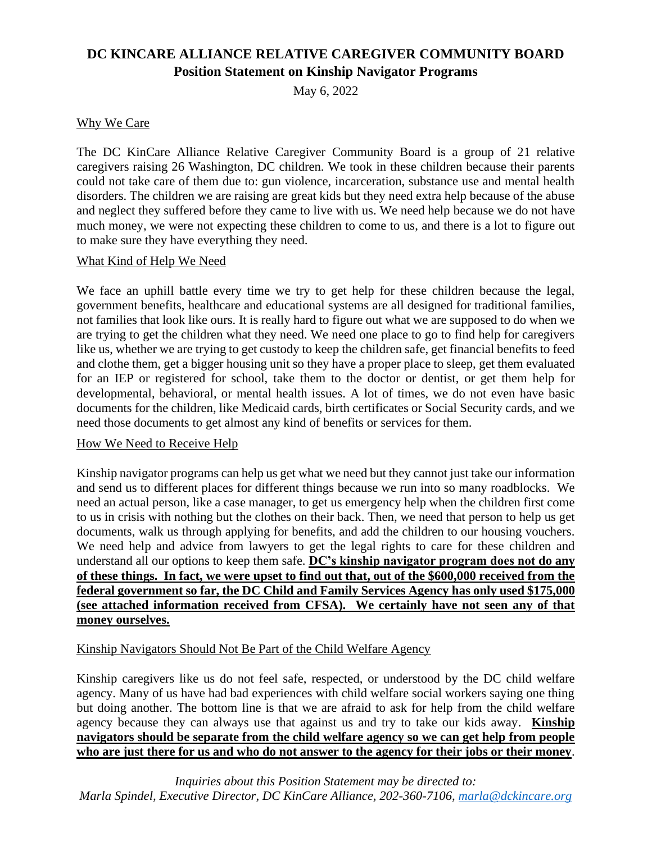# **DC KINCARE ALLIANCE RELATIVE CAREGIVER COMMUNITY BOARD Position Statement on Kinship Navigator Programs**

May 6, 2022

## Why We Care

The DC KinCare Alliance Relative Caregiver Community Board is a group of 21 relative caregivers raising 26 Washington, DC children. We took in these children because their parents could not take care of them due to: gun violence, incarceration, substance use and mental health disorders. The children we are raising are great kids but they need extra help because of the abuse and neglect they suffered before they came to live with us. We need help because we do not have much money, we were not expecting these children to come to us, and there is a lot to figure out to make sure they have everything they need.

#### What Kind of Help We Need

We face an uphill battle every time we try to get help for these children because the legal, government benefits, healthcare and educational systems are all designed for traditional families, not families that look like ours. It is really hard to figure out what we are supposed to do when we are trying to get the children what they need. We need one place to go to find help for caregivers like us, whether we are trying to get custody to keep the children safe, get financial benefits to feed and clothe them, get a bigger housing unit so they have a proper place to sleep, get them evaluated for an IEP or registered for school, take them to the doctor or dentist, or get them help for developmental, behavioral, or mental health issues. A lot of times, we do not even have basic documents for the children, like Medicaid cards, birth certificates or Social Security cards, and we need those documents to get almost any kind of benefits or services for them.

#### How We Need to Receive Help

Kinship navigator programs can help us get what we need but they cannot just take our information and send us to different places for different things because we run into so many roadblocks. We need an actual person, like a case manager, to get us emergency help when the children first come to us in crisis with nothing but the clothes on their back. Then, we need that person to help us get documents, walk us through applying for benefits, and add the children to our housing vouchers. We need help and advice from lawyers to get the legal rights to care for these children and understand all our options to keep them safe. **DC's kinship navigator program does not do any of these things. In fact, we were upset to find out that, out of the \$600,000 received from the federal government so far, the DC Child and Family Services Agency has only used \$175,000 (see attached information received from CFSA). We certainly have not seen any of that money ourselves.**

## Kinship Navigators Should Not Be Part of the Child Welfare Agency

Kinship caregivers like us do not feel safe, respected, or understood by the DC child welfare agency. Many of us have had bad experiences with child welfare social workers saying one thing but doing another. The bottom line is that we are afraid to ask for help from the child welfare agency because they can always use that against us and try to take our kids away. **Kinship navigators should be separate from the child welfare agency so we can get help from people who are just there for us and who do not answer to the agency for their jobs or their money**.

*Inquiries about this Position Statement may be directed to: Marla Spindel, Executive Director, DC KinCare Alliance, 202-360-7106, [marla@dckincare.org](mailto:marla@dckincare.org)*